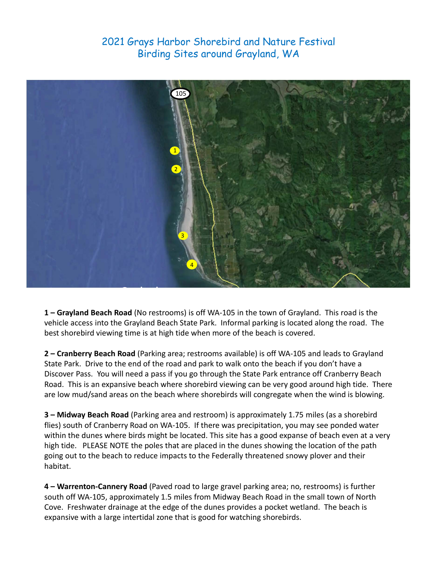## 2021 Grays Harbor Shorebird and Nature Festival Birding Sites around Grayland, WA



**1 – Grayland Beach Road** (No restrooms) is off WA‐105 in the town of Grayland. This road is the vehicle access into the Grayland Beach State Park. Informal parking is located along the road. The best shorebird viewing time is at high tide when more of the beach is covered.

**2 – Cranberry Beach Road** (Parking area; restrooms available) is off WA‐105 and leads to Grayland State Park. Drive to the end of the road and park to walk onto the beach if you don't have a Discover Pass. You will need a pass if you go through the State Park entrance off Cranberry Beach Road. This is an expansive beach where shorebird viewing can be very good around high tide. There are low mud/sand areas on the beach where shorebirds will congregate when the wind is blowing.

**Tokeland** within the dunes where birds might be located. This site has a good expanse of beach even at a very **3 – Midway Beach Road** (Parking area and restroom) is approximately 1.75 miles (as a shorebird flies) south of Cranberry Road on WA‐105. If there was precipitation, you may see ponded water high tide. PLEASE NOTE the poles that are placed in the dunes showing the location of the path going out to the beach to reduce impacts to the Federally threatened snowy plover and their habitat.

**4 – Warrenton‐Cannery Road** (Paved road to large gravel parking area; no, restrooms) is further south off WA‐105, approximately 1.5 miles from Midway Beach Road in the small town of North Cove. Freshwater drainage at the edge of the dunes provides a pocket wetland. The beach is expansive with a large intertidal zone that is good for watching shorebirds.